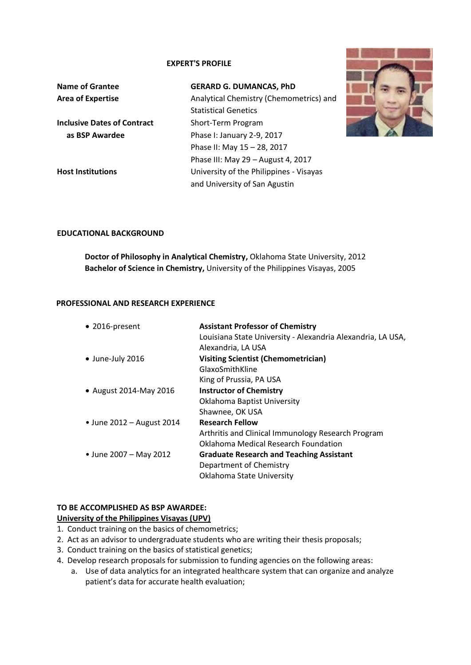### **EXPERT'S PROFILE**

| <b>Name of Grantee</b>             | <b>GERARD G. DUMANCAS, PhD</b>          |
|------------------------------------|-----------------------------------------|
| <b>Area of Expertise</b>           | Analytical Chemistry (Chemometrics) and |
|                                    | <b>Statistical Genetics</b>             |
| <b>Inclusive Dates of Contract</b> | Short-Term Program                      |
| as BSP Awardee                     | Phase I: January 2-9, 2017              |
|                                    | Phase II: May 15 - 28, 2017             |
|                                    | Phase III: May 29 - August 4, 2017      |
| <b>Host Institutions</b>           | University of the Philippines - Visayas |
|                                    | and University of San Agustin           |



### **EDUCATIONAL BACKGROUND**

**Doctor of Philosophy in Analytical Chemistry,** Oklahoma State University, 2012 **Bachelor of Science in Chemistry,** University of the Philippines Visayas, 2005

### **PROFESSIONAL AND RESEARCH EXPERIENCE**

| • 2016-present            | <b>Assistant Professor of Chemistry</b><br>Louisiana State University - Alexandria Alexandria, LA USA,<br>Alexandria, LA USA |
|---------------------------|------------------------------------------------------------------------------------------------------------------------------|
| $\bullet$ June-July 2016  | <b>Visiting Scientist (Chemometrician)</b>                                                                                   |
|                           | GlaxoSmithKline                                                                                                              |
|                           | King of Prussia, PA USA                                                                                                      |
| • August 2014-May 2016    | <b>Instructor of Chemistry</b>                                                                                               |
|                           | <b>Oklahoma Baptist University</b>                                                                                           |
|                           | Shawnee, OK USA                                                                                                              |
| • June 2012 - August 2014 | <b>Research Fellow</b>                                                                                                       |
|                           | Arthritis and Clinical Immunology Research Program                                                                           |
|                           | Oklahoma Medical Research Foundation                                                                                         |
| • June 2007 – May 2012    | <b>Graduate Research and Teaching Assistant</b>                                                                              |
|                           | Department of Chemistry                                                                                                      |
|                           | Oklahoma State University                                                                                                    |
|                           |                                                                                                                              |

# **TO BE ACCOMPLISHED AS BSP AWARDEE:**

## **University of the Philippines Visayas (UPV)**

- 1. Conduct training on the basics of chemometrics;
- 2. Act as an advisor to undergraduate students who are writing their thesis proposals;
- 3. Conduct training on the basics of statistical genetics;
- 4. Develop research proposals for submission to funding agencies on the following areas:
	- a. Use of data analytics for an integrated healthcare system that can organize and analyze patient's data for accurate health evaluation;